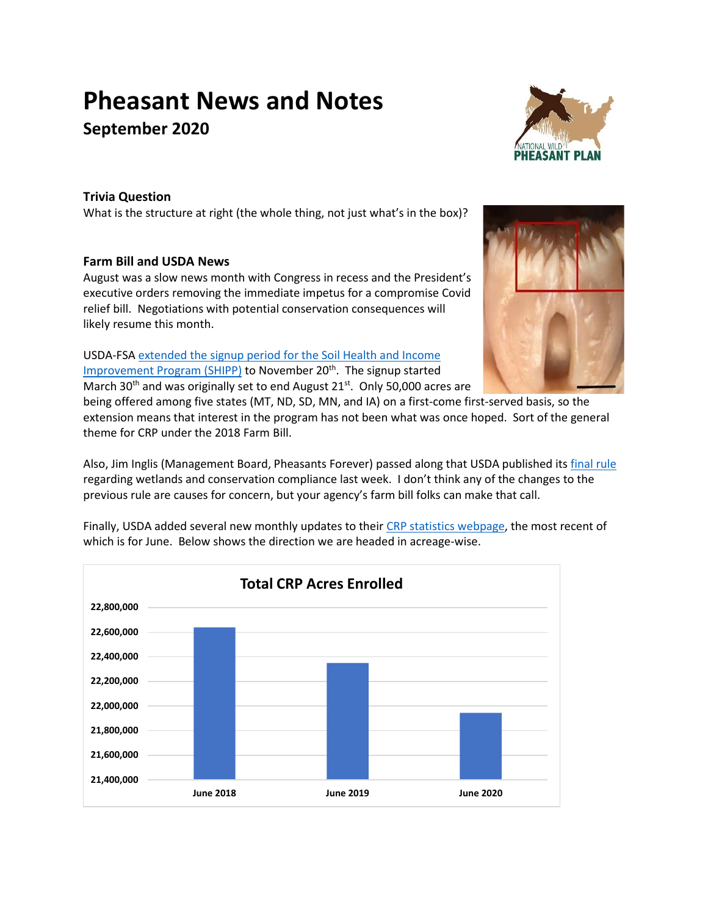# **Pheasant News and Notes September 2020**



## **Trivia Question**

What is the structure at right (the whole thing, not just what's in the box)?

## **Farm Bill and USDA News**

August was a slow news month with Congress in recess and the President's executive orders removing the immediate impetus for a compromise Covid relief bill. Negotiations with potential conservation consequences will likely resume this month.

USDA-FSA extended [the signup period for the Soil Health and Income](https://www.fsa.usda.gov/Internet/FSA_Notice/crp_906.pdf?utm_medium=email&utm_source=govdelivery)  [Improvement Program \(SHIPP\)](https://www.fsa.usda.gov/Internet/FSA_Notice/crp_906.pdf?utm_medium=email&utm_source=govdelivery) to November 20<sup>th</sup>. The signup started March 30<sup>th</sup> and was originally set to end August 21<sup>st</sup>. Only 50,000 acres are

being offered among five states (MT, ND, SD, MN, and IA) on a first-come first-served basis, so the extension means that interest in the program has not been what was once hoped. Sort of the general theme for CRP under the 2018 Farm Bill.

Also, Jim Inglis (Management Board, Pheasants Forever) passed along that USDA published it[s final rule](https://nam02.safelinks.protection.outlook.com/?url=https%3A%2F%2Fwww.federalregister.gov%2Fdocuments%2F2020%2F08%2F28%2F2020-18626%2Fhighly-erodible-land-and-wetland-conservation&data=02%7C01%7Cjinglis%40pheasantsforever.org%7Cc69ac460933146ccf53708d84acdc6f6%7Caa7f2878315845b4bbebd7b7b3fe4ae3%7C1%7C0%7C637341594952529308&sdata=xd9Bt1u9l%2BvpQ4EEXvRoqq4vaL2%2B%2BI9Jx5gr3grBChs%3D&reserved=0) regarding wetlands and conservation compliance last week. I don't think any of the changes to the previous rule are causes for concern, but your agency's farm bill folks can make that call.



Finally, USDA added several new monthly updates to their [CRP statistics webpage,](https://www.fsa.usda.gov/programs-and-services/conservation-programs/reports-and-statistics/conservation-reserve-program-statistics/index) the most recent of which is for June. Below shows the direction we are headed in acreage-wise.

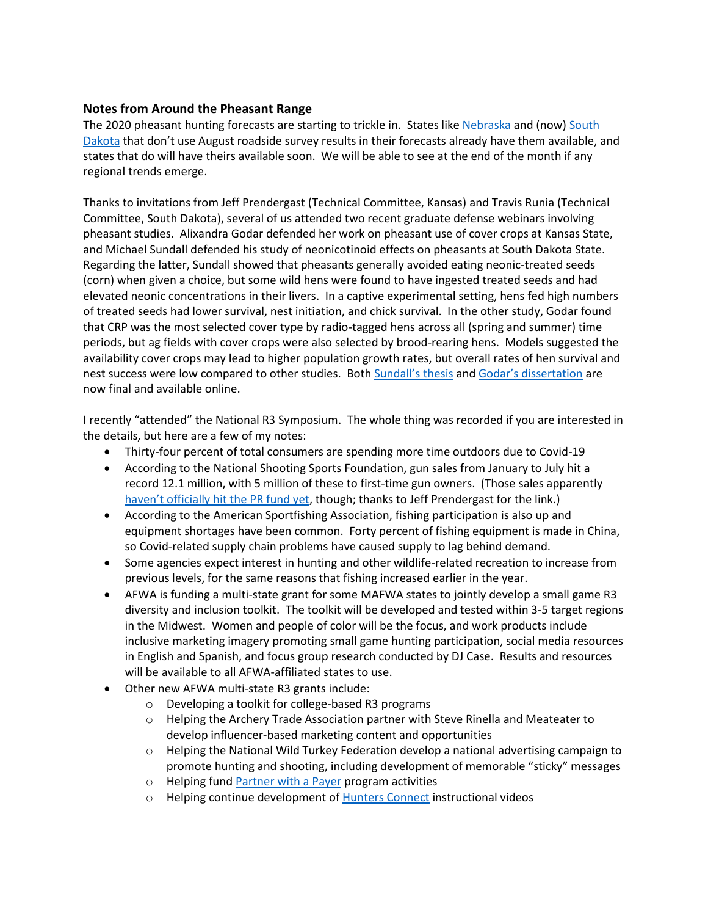## **Notes from Around the Pheasant Range**

The 2020 pheasant hunting forecasts are starting to trickle in. States like [Nebraska](http://outdoornebraska.gov/wp-content/uploads/formidable/5/2020-JULY-RMCS-REPORT.pdf) and (now) South [Dakota](https://gfp.sd.gov/userdocs/docs/2020_Ringneck_Outlook2.pdf) that don't use August roadside survey results in their forecasts already have them available, and states that do will have theirs available soon. We will be able to see at the end of the month if any regional trends emerge.

Thanks to invitations from Jeff Prendergast (Technical Committee, Kansas) and Travis Runia (Technical Committee, South Dakota), several of us attended two recent graduate defense webinars involving pheasant studies. Alixandra Godar defended her work on pheasant use of cover crops at Kansas State, and Michael Sundall defended his study of neonicotinoid effects on pheasants at South Dakota State. Regarding the latter, Sundall showed that pheasants generally avoided eating neonic-treated seeds (corn) when given a choice, but some wild hens were found to have ingested treated seeds and had elevated neonic concentrations in their livers. In a captive experimental setting, hens fed high numbers of treated seeds had lower survival, nest initiation, and chick survival. In the other study, Godar found that CRP was the most selected cover type by radio-tagged hens across all (spring and summer) time periods, but ag fields with cover crops were also selected by brood-rearing hens. Models suggested the availability cover crops may lead to higher population growth rates, but overall rates of hen survival and nest success were low compared to other studies. Both [Sundall'](https://openprairie.sdstate.edu/cgi/viewcontent.cgi?article=5149&context=etd)s thesis and Godar's diss[ertation](https://krex.k-state.edu/dspace/bitstream/handle/2097/40838/AlixandraGodar2020.pdf?sequence=1) are now final and available online.

I recently "attended" the National R3 Symposium. The whole thing was recorded if you are interested in the details, but here are a few of my notes:

- Thirty-four percent of total consumers are spending more time outdoors due to Covid-19
- According to the National Shooting Sports Foundation, gun sales from January to July hit a record 12.1 million, with 5 million of these to first-time gun owners. (Those sales apparently haven't [officially hit the PR fund yet,](https://wildlifemanagement.institute/outdoor-news-bulletin/august-2020/excise-tax-snapshot) though; thanks to Jeff Prendergast for the link.)
- According to the American Sportfishing Association, fishing participation is also up and equipment shortages have been common. Forty percent of fishing equipment is made in China, so Covid-related supply chain problems have caused supply to lag behind demand.
- Some agencies expect interest in hunting and other wildlife-related recreation to increase from previous levels, for the same reasons that fishing increased earlier in the year.
- AFWA is funding a multi-state grant for some MAFWA states to jointly develop a small game R3 diversity and inclusion toolkit. The toolkit will be developed and tested within 3-5 target regions in the Midwest. Women and people of color will be the focus, and work products include inclusive marketing imagery promoting small game hunting participation, social media resources in English and Spanish, and focus group research conducted by DJ Case. Results and resources will be available to all AFWA-affiliated states to use.
- Other new AFWA multi-state R3 grants include:
	- o Developing a toolkit for college-based R3 programs
	- o Helping the Archery Trade Association partner with Steve Rinella and Meateater to develop influencer-based marketing content and opportunities
	- $\circ$  Helping the National Wild Turkey Federation develop a national advertising campaign to promote hunting and shooting, including development of memorable "sticky" messages
	- o Helping fund [Partner with a Payer](https://www.fws.gov/northeast/wsfr/partner-with-a-payer.html#:~:text=Partner%20with%20a%20Payer%20is,fuel%20tax%20by%20the%20products) program activities
	- o Helping continue development of [Hunters](https://huntersconnect.org/) Connect instructional videos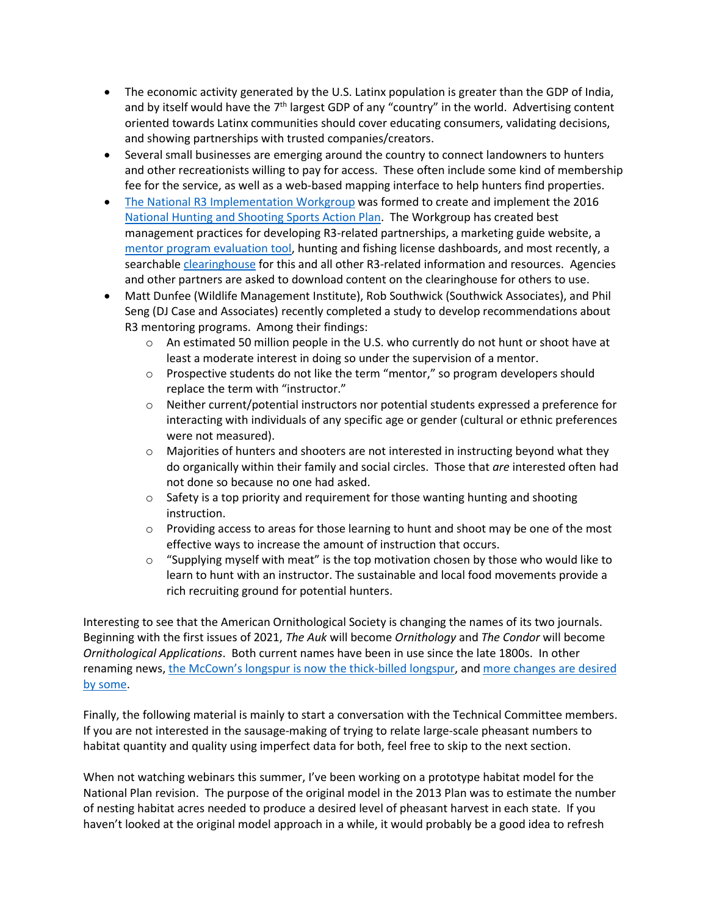- The economic activity generated by the U.S. Latinx population is greater than the GDP of India, and by itself would have the 7<sup>th</sup> largest GDP of any "country" in the world. Advertising content oriented towards Latinx communities should cover educating consumers, validating decisions, and showing partnerships with trusted companies/creators.
- Several small businesses are emerging around the country to connect landowners to hunters and other recreationists willing to pay for access. These often include some kind of membership fee for the service, as well as a web-based mapping interface to help hunters find properties.
- [The National R3 Implementation Workgroup](https://cahss.org/nationalr3implementationworkgroup/) was formed to create and implement the 2016 [National Hunting and Shooting Sports Action Plan.](https://cahss.org/national-hunting-shooting-sports-action-plan/) The Workgroup has created best management practices for developing R3-related partnerships, a marketing guide website, a [mentor program evaluation tool,](https://mentorshipselfassessment.questionpro.com/) hunting and fishing license dashboards, and most recently, a searchable [clearinghouse](https://cahss.getbynder.com/) for this and all other R3-related information and resources. Agencies and other partners are asked to download content on the clearinghouse for others to use.
- Matt Dunfee (Wildlife Management Institute), Rob Southwick (Southwick Associates), and Phil Seng (DJ Case and Associates) recently completed a study to develop recommendations about R3 mentoring programs. Among their findings:
	- o An estimated 50 million people in the U.S. who currently do not hunt or shoot have at least a moderate interest in doing so under the supervision of a mentor.
	- o Prospective students do not like the term "mentor," so program developers should replace the term with "instructor."
	- o Neither current/potential instructors nor potential students expressed a preference for interacting with individuals of any specific age or gender (cultural or ethnic preferences were not measured).
	- $\circ$  Majorities of hunters and shooters are not interested in instructing beyond what they do organically within their family and social circles. Those that *are* interested often had not done so because no one had asked.
	- $\circ$  Safety is a top priority and requirement for those wanting hunting and shooting instruction.
	- $\circ$  Providing access to areas for those learning to hunt and shoot may be one of the most effective ways to increase the amount of instruction that occurs.
	- $\circ$  "Supplying myself with meat" is the top motivation chosen by those who would like to learn to hunt with an instructor. The sustainable and local food movements provide a rich recruiting ground for potential hunters.

Interesting to see that the American Ornithological Society is changing the names of its two journals. Beginning with the first issues of 2021, *The Auk* will become *Ornithology* and *The Condor* will become *Ornithological Applications*. Both current names have been in use since the late 1800s. In other renaming news, [the McCown's longspur is now the thick](https://www.sciencemag.org/news/2020/08/reversal-ornithologists-yank-confederate-general-s-name-bird)-billed longspur, and [more changes are desired](https://www.washingtonpost.com/opinions/2020/08/04/american-bird-names-colonialism-audubon/?arc404=true)  [by some.](https://www.washingtonpost.com/opinions/2020/08/04/american-bird-names-colonialism-audubon/?arc404=true)

Finally, the following material is mainly to start a conversation with the Technical Committee members. If you are not interested in the sausage-making of trying to relate large-scale pheasant numbers to habitat quantity and quality using imperfect data for both, feel free to skip to the next section.

When not watching webinars this summer, I've been working on a prototype habitat model for the National Plan revision. The purpose of the original model in the 2013 Plan was to estimate the number of nesting habitat acres needed to produce a desired level of pheasant harvest in each state. If you haven't looked at the original model approach in a while, it would probably be a good idea to refresh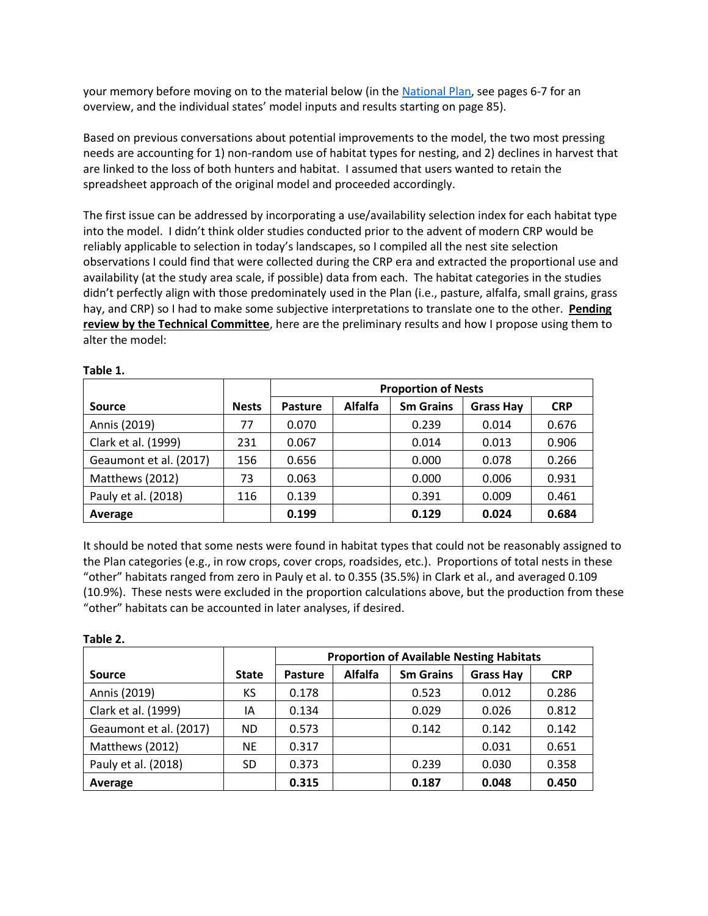your memory before moving on to the material below (in th[e National Plan,](http://nationalpheasantplan.org/wp-content/uploads/2016/12/NationalWildPheasantConservationPlan2013.pdf) see pages 6-7 for an overview, and the individual states' model inputs and results starting on page 85).

Based on previous conversations about potential improvements to the model, the two most pressing needs are accounting for 1) non-random use of habitat types for nesting, and 2) declines in harvest that are linked to the loss of both hunters and habitat. I assumed that users wanted to retain the spreadsheet approach of the original model and proceeded accordingly.

The first issue can be addressed by incorporating a use/availability selection index for each habitat type into the model. I didn't think older studies conducted prior to the advent of modern CRP would be reliably applicable to selection in today's landscapes, so I compiled all the nest site selection observations I could find that were collected during the CRP era and extracted the proportional use and availability (at the study area scale, if possible) data from each. The habitat categories in the studies didn't perfectly align with those predominately used in the Plan (i.e., pasture, alfalfa, small grains, grass hay, and CRP) so I had to make some subjective interpretations to translate one to the other. **Pending review by the Technical Committee**, here are the preliminary results and how I propose using them to alter the model:

|                        |              | <b>Proportion of Nests</b>                                               |  |       |       |            |
|------------------------|--------------|--------------------------------------------------------------------------|--|-------|-------|------------|
| <b>Source</b>          | <b>Nests</b> | <b>Alfalfa</b><br><b>Sm Grains</b><br><b>Grass Hay</b><br><b>Pasture</b> |  |       |       | <b>CRP</b> |
| Annis (2019)           | 77           | 0.070                                                                    |  | 0.239 | 0.014 | 0.676      |
| Clark et al. (1999)    | 231          | 0.067                                                                    |  | 0.014 | 0.013 | 0.906      |
| Geaumont et al. (2017) | 156          | 0.656                                                                    |  | 0.000 | 0.078 | 0.266      |
| Matthews (2012)        | 73           | 0.063                                                                    |  | 0.000 | 0.006 | 0.931      |
| Pauly et al. (2018)    | 116          | 0.139                                                                    |  | 0.391 | 0.009 | 0.461      |
| Average                |              | 0.199                                                                    |  | 0.129 | 0.024 | 0.684      |

**Table 1.**

It should be noted that some nests were found in habitat types that could not be reasonably assigned to the Plan categories (e.g., in row crops, cover crops, roadsides, etc.). Proportions of total nests in these "other" habitats ranged from zero in Pauly et al. to 0.355 (35.5%) in Clark et al., and averaged 0.109 (10.9%). These nests were excluded in the proportion calculations above, but the production from these "other" habitats can be accounted in later analyses, if desired.

| Table 2.               |              |                                                                                 |  |       |       |       |  |  |  |
|------------------------|--------------|---------------------------------------------------------------------------------|--|-------|-------|-------|--|--|--|
|                        |              | <b>Proportion of Available Nesting Habitats</b>                                 |  |       |       |       |  |  |  |
| Source                 | <b>State</b> | <b>Alfalfa</b><br><b>Sm Grains</b><br><b>CRP</b><br>Pasture<br><b>Grass Hay</b> |  |       |       |       |  |  |  |
| Annis (2019)           | КS           | 0.178                                                                           |  | 0.523 | 0.012 | 0.286 |  |  |  |
| Clark et al. (1999)    | ΙA           | 0.134                                                                           |  | 0.029 | 0.026 | 0.812 |  |  |  |
| Geaumont et al. (2017) | ND.          | 0.573                                                                           |  | 0.142 | 0.142 | 0.142 |  |  |  |
| Matthews (2012)        | <b>NE</b>    | 0.317                                                                           |  |       | 0.031 | 0.651 |  |  |  |
| Pauly et al. (2018)    | SD           | 0.373                                                                           |  | 0.239 | 0.030 | 0.358 |  |  |  |
| Average                |              | 0.315                                                                           |  | 0.187 | 0.048 | 0.450 |  |  |  |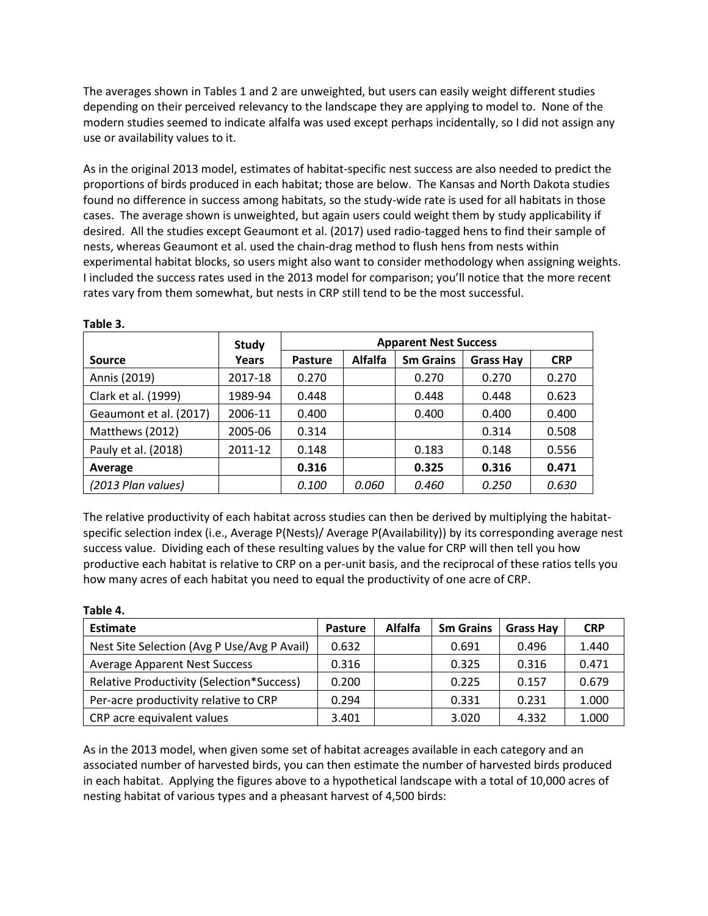The averages shown in Tables 1 and 2 are unweighted, but users can easily weight different studies depending on their perceived relevancy to the landscape they are applying to model to. None of the modern studies seemed to indicate alfalfa was used except perhaps incidentally, so I did not assign any use or availability values to it.

As in the original 2013 model, estimates of habitat-specific nest success are also needed to predict the proportions of birds produced in each habitat; those are below. The Kansas and North Dakota studies found no difference in success among habitats, so the study-wide rate is used for all habitats in those cases. The average shown is unweighted, but again users could weight them by study applicability if desired. All the studies except Geaumont et al. (2017) used radio-tagged hens to find their sample of nests, whereas Geaumont et al. used the chain-drag method to flush hens from nests within experimental habitat blocks, so users might also want to consider methodology when assigning weights. I included the success rates used in the 2013 model for comparison; you'll notice that the more recent rates vary from them somewhat, but nests in CRP still tend to be the most successful.

|                        | <b>Study</b> | <b>Apparent Nest Success</b> |                |                  |                  |            |
|------------------------|--------------|------------------------------|----------------|------------------|------------------|------------|
| Source                 | Years        | <b>Pasture</b>               | <b>Alfalfa</b> | <b>Sm Grains</b> | <b>Grass Hay</b> | <b>CRP</b> |
| Annis (2019)           | 2017-18      | 0.270                        |                | 0.270            | 0.270            | 0.270      |
| Clark et al. (1999)    | 1989-94      | 0.448                        |                | 0.448            | 0.448            | 0.623      |
| Geaumont et al. (2017) | 2006-11      | 0.400                        |                | 0.400            | 0.400            | 0.400      |
| Matthews (2012)        | 2005-06      | 0.314                        |                |                  | 0.314            | 0.508      |
| Pauly et al. (2018)    | 2011-12      | 0.148                        |                | 0.183            | 0.148            | 0.556      |
| Average                |              | 0.316                        |                | 0.325            | 0.316            | 0.471      |
| (2013 Plan values)     |              | 0.100                        | 0.060          | 0.460            | 0.250            | 0.630      |

**Table 3.**

The relative productivity of each habitat across studies can then be derived by multiplying the habitatspecific selection index (i.e., Average P(Nests)/ Average P(Availability)) by its corresponding average nest success value. Dividing each of these resulting values by the value for CRP will then tell you how productive each habitat is relative to CRP on a per-unit basis, and the reciprocal of these ratios tells you how many acres of each habitat you need to equal the productivity of one acre of CRP.

| Table 4.                                    |                |                |                  |                  |            |  |  |  |  |
|---------------------------------------------|----------------|----------------|------------------|------------------|------------|--|--|--|--|
| <b>Estimate</b>                             | <b>Pasture</b> | <b>Alfalfa</b> | <b>Sm Grains</b> | <b>Grass Hay</b> | <b>CRP</b> |  |  |  |  |
| Nest Site Selection (Avg P Use/Avg P Avail) | 0.632          |                | 0.691            | 0.496            | 1.440      |  |  |  |  |
| <b>Average Apparent Nest Success</b>        | 0.316          |                | 0.325            | 0.316            | 0.471      |  |  |  |  |
| Relative Productivity (Selection*Success)   | 0.200          |                | 0.225            | 0.157            | 0.679      |  |  |  |  |
| Per-acre productivity relative to CRP       | 0.294          |                | 0.331            | 0.231            | 1.000      |  |  |  |  |
| CRP acre equivalent values                  | 3.401          |                | 3.020            | 4.332            | 1.000      |  |  |  |  |

As in the 2013 model, when given some set of habitat acreages available in each category and an associated number of harvested birds, you can then estimate the number of harvested birds produced in each habitat. Applying the figures above to a hypothetical landscape with a total of 10,000 acres of nesting habitat of various types and a pheasant harvest of 4,500 birds: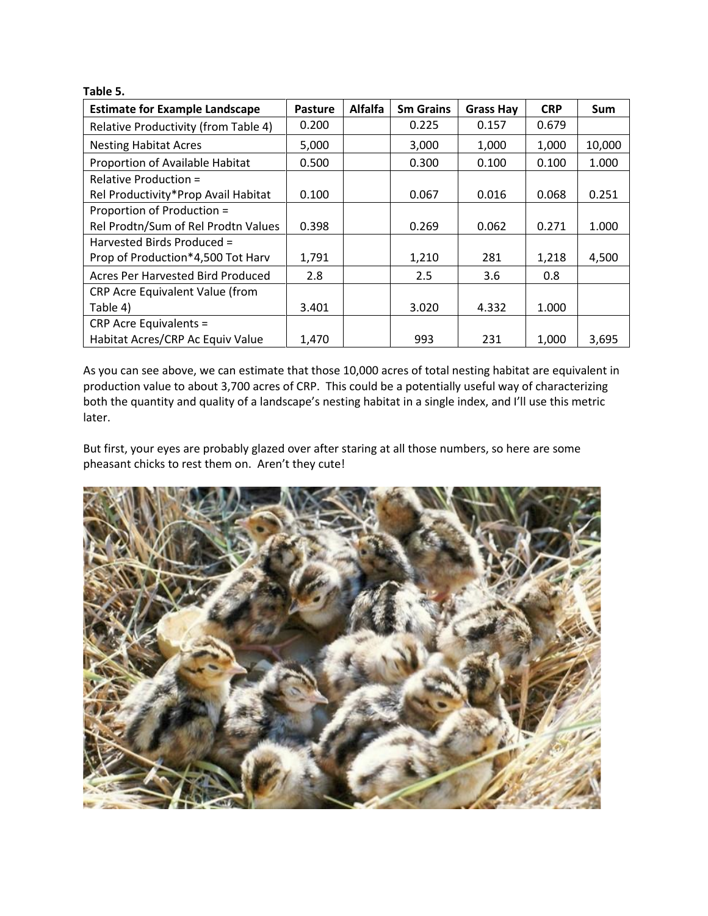| Table 5.                              |                |                |                  |                  |            |            |
|---------------------------------------|----------------|----------------|------------------|------------------|------------|------------|
| <b>Estimate for Example Landscape</b> | <b>Pasture</b> | <b>Alfalfa</b> | <b>Sm Grains</b> | <b>Grass Hay</b> | <b>CRP</b> | <b>Sum</b> |
| Relative Productivity (from Table 4)  | 0.200          |                | 0.225            | 0.157            | 0.679      |            |
| <b>Nesting Habitat Acres</b>          | 5,000          |                | 3,000            | 1,000            | 1,000      | 10,000     |
| Proportion of Available Habitat       | 0.500          |                | 0.300            | 0.100            | 0.100      | 1.000      |
| Relative Production =                 |                |                |                  |                  |            |            |
| Rel Productivity*Prop Avail Habitat   | 0.100          |                | 0.067            | 0.016            | 0.068      | 0.251      |
| Proportion of Production =            |                |                |                  |                  |            |            |
| Rel Prodtn/Sum of Rel Prodtn Values   | 0.398          |                | 0.269            | 0.062            | 0.271      | 1.000      |
| Harvested Birds Produced =            |                |                |                  |                  |            |            |
| Prop of Production*4,500 Tot Harv     | 1,791          |                | 1,210            | 281              | 1,218      | 4,500      |
| Acres Per Harvested Bird Produced     | 2.8            |                | 2.5              | 3.6              | 0.8        |            |
| CRP Acre Equivalent Value (from       |                |                |                  |                  |            |            |
| Table 4)                              | 3.401          |                | 3.020            | 4.332            | 1.000      |            |
| <b>CRP Acre Equivalents =</b>         |                |                |                  |                  |            |            |
| Habitat Acres/CRP Ac Equiv Value      | 1,470          |                | 993              | 231              | 1,000      | 3,695      |

As you can see above, we can estimate that those 10,000 acres of total nesting habitat are equivalent in production value to about 3,700 acres of CRP. This could be a potentially useful way of characterizing both the quantity and quality of a landscape's nesting habitat in a single index, and I'll use this metric later.

But first, your eyes are probably glazed over after staring at all those numbers, so here are some pheasant chicks to rest them on. Aren't they cute!

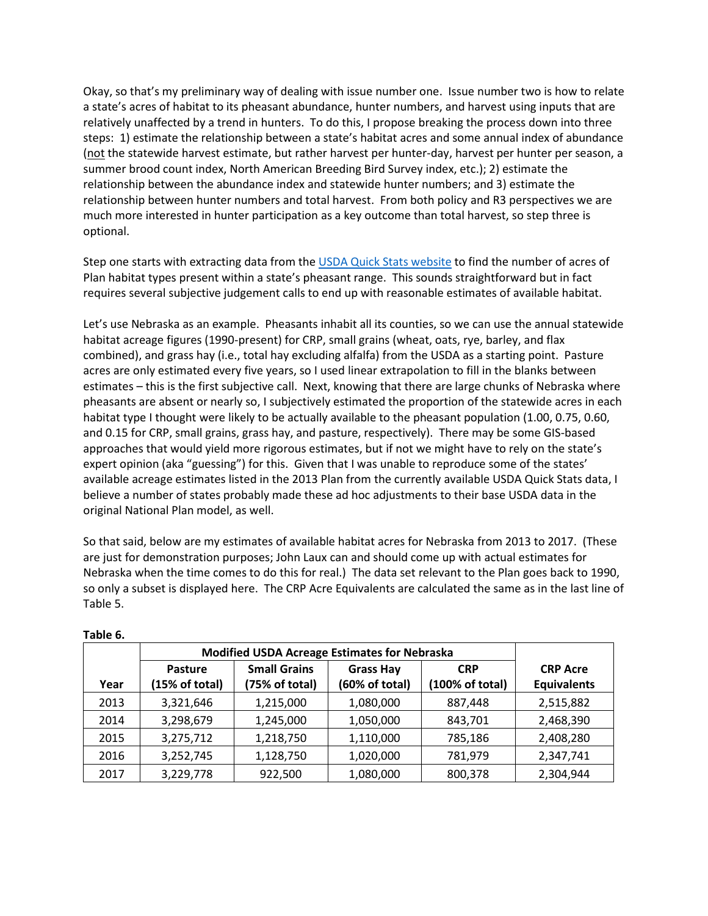Okay, so that's my preliminary way of dealing with issue number one. Issue number two is how to relate a state's acres of habitat to its pheasant abundance, hunter numbers, and harvest using inputs that are relatively unaffected by a trend in hunters. To do this, I propose breaking the process down into three steps: 1) estimate the relationship between a state's habitat acres and some annual index of abundance (not the statewide harvest estimate, but rather harvest per hunter-day, harvest per hunter per season, a summer brood count index, North American Breeding Bird Survey index, etc.); 2) estimate the relationship between the abundance index and statewide hunter numbers; and 3) estimate the relationship between hunter numbers and total harvest. From both policy and R3 perspectives we are much more interested in hunter participation as a key outcome than total harvest, so step three is optional.

Step one starts with extracting data from th[e USDA Quick Stats website](https://quickstats.nass.usda.gov/) to find the number of acres of Plan habitat types present within a state's pheasant range. This sounds straightforward but in fact requires several subjective judgement calls to end up with reasonable estimates of available habitat.

Let's use Nebraska as an example. Pheasants inhabit all its counties, so we can use the annual statewide habitat acreage figures (1990-present) for CRP, small grains (wheat, oats, rye, barley, and flax combined), and grass hay (i.e., total hay excluding alfalfa) from the USDA as a starting point. Pasture acres are only estimated every five years, so I used linear extrapolation to fill in the blanks between estimates – this is the first subjective call. Next, knowing that there are large chunks of Nebraska where pheasants are absent or nearly so, I subjectively estimated the proportion of the statewide acres in each habitat type I thought were likely to be actually available to the pheasant population (1.00, 0.75, 0.60, and 0.15 for CRP, small grains, grass hay, and pasture, respectively). There may be some GIS-based approaches that would yield more rigorous estimates, but if not we might have to rely on the state's expert opinion (aka "guessing") for this. Given that I was unable to reproduce some of the states' available acreage estimates listed in the 2013 Plan from the currently available USDA Quick Stats data, I believe a number of states probably made these ad hoc adjustments to their base USDA data in the original National Plan model, as well.

So that said, below are my estimates of available habitat acres for Nebraska from 2013 to 2017. (These are just for demonstration purposes; John Laux can and should come up with actual estimates for Nebraska when the time comes to do this for real.) The data set relevant to the Plan goes back to 1990, so only a subset is displayed here. The CRP Acre Equivalents are calculated the same as in the last line of Table 5.

|      | <b>Modified USDA Acreage Estimates for Nebraska</b> |                                       |                                    |                               |                                       |
|------|-----------------------------------------------------|---------------------------------------|------------------------------------|-------------------------------|---------------------------------------|
| Year | Pasture<br>(15% of total)                           | <b>Small Grains</b><br>(75% of total) | <b>Grass Hay</b><br>(60% of total) | <b>CRP</b><br>(100% of total) | <b>CRP Acre</b><br><b>Equivalents</b> |
| 2013 | 3,321,646                                           | 1,215,000                             | 1,080,000                          | 887,448                       | 2,515,882                             |
| 2014 | 3,298,679                                           | 1,245,000                             | 1,050,000                          | 843,701                       | 2,468,390                             |
| 2015 | 3,275,712                                           | 1,218,750                             | 1,110,000                          | 785,186                       | 2,408,280                             |
| 2016 | 3,252,745                                           | 1,128,750                             | 1,020,000                          | 781,979                       | 2,347,741                             |
| 2017 | 3,229,778                                           | 922,500                               | 1,080,000                          | 800,378                       | 2,304,944                             |

**Table 6.**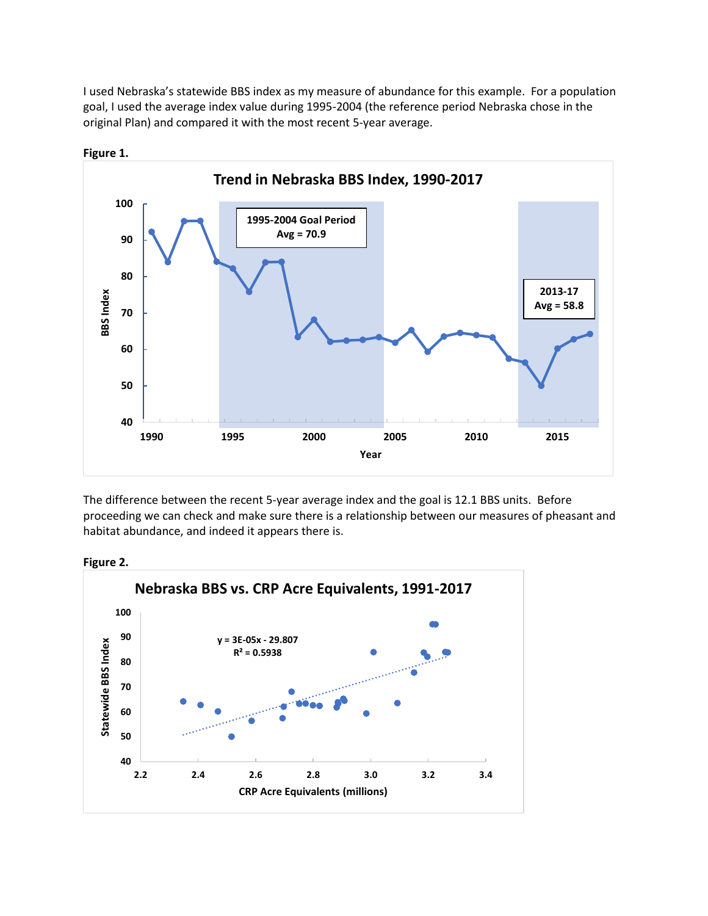I used Nebraska's statewide BBS index as my measure of abundance for this example. For a population goal, I used the average index value during 1995-2004 (the reference period Nebraska chose in the original Plan) and compared it with the most recent 5-year average.



**Figure 1.**

The difference between the recent 5-year average index and the goal is 12.1 BBS units. Before proceeding we can check and make sure there is a relationship between our measures of pheasant and habitat abundance, and indeed it appears there is.



**Figure 2.**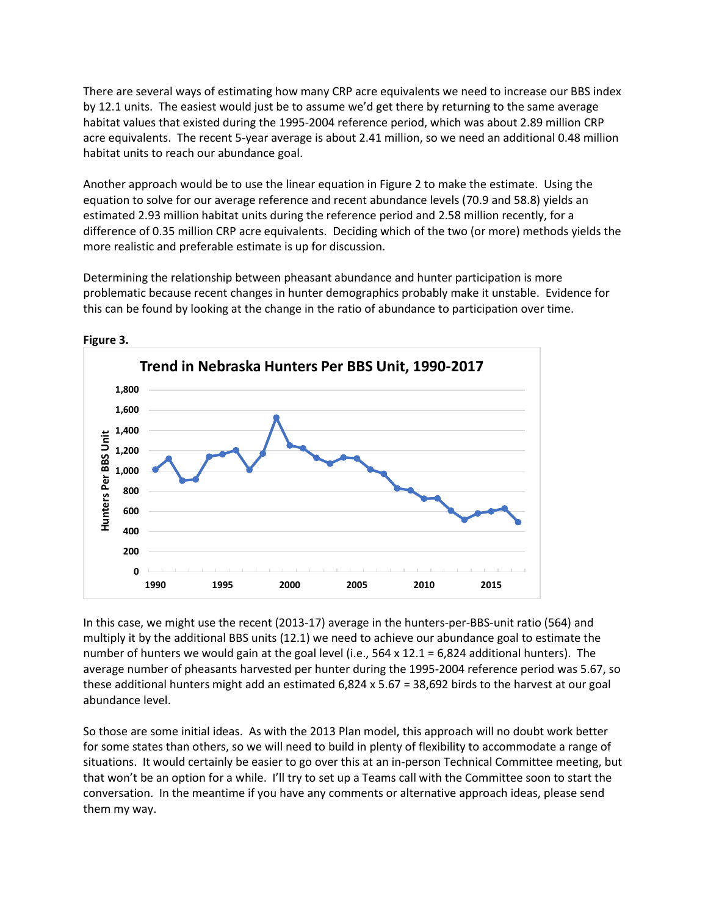There are several ways of estimating how many CRP acre equivalents we need to increase our BBS index by 12.1 units. The easiest would just be to assume we'd get there by returning to the same average habitat values that existed during the 1995-2004 reference period, which was about 2.89 million CRP acre equivalents. The recent 5-year average is about 2.41 million, so we need an additional 0.48 million habitat units to reach our abundance goal.

Another approach would be to use the linear equation in Figure 2 to make the estimate. Using the equation to solve for our average reference and recent abundance levels (70.9 and 58.8) yields an estimated 2.93 million habitat units during the reference period and 2.58 million recently, for a difference of 0.35 million CRP acre equivalents. Deciding which of the two (or more) methods yields the more realistic and preferable estimate is up for discussion.

Determining the relationship between pheasant abundance and hunter participation is more problematic because recent changes in hunter demographics probably make it unstable. Evidence for this can be found by looking at the change in the ratio of abundance to participation over time.



**Figure 3.**

In this case, we might use the recent (2013-17) average in the hunters-per-BBS-unit ratio (564) and multiply it by the additional BBS units (12.1) we need to achieve our abundance goal to estimate the number of hunters we would gain at the goal level (i.e., 564 x 12.1 = 6,824 additional hunters). The average number of pheasants harvested per hunter during the 1995-2004 reference period was 5.67, so these additional hunters might add an estimated 6,824 x 5.67 = 38,692 birds to the harvest at our goal abundance level.

So those are some initial ideas. As with the 2013 Plan model, this approach will no doubt work better for some states than others, so we will need to build in plenty of flexibility to accommodate a range of situations. It would certainly be easier to go over this at an in-person Technical Committee meeting, but that won't be an option for a while. I'll try to set up a Teams call with the Committee soon to start the conversation. In the meantime if you have any comments or alternative approach ideas, please send them my way.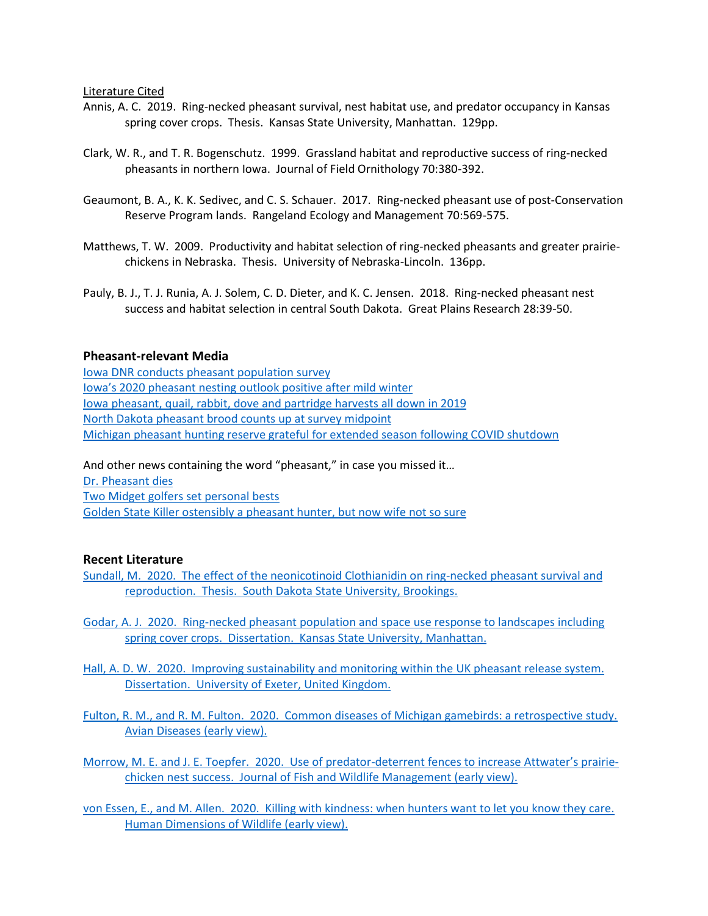#### Literature Cited

- Annis, A. C. 2019. Ring-necked pheasant survival, nest habitat use, and predator occupancy in Kansas spring cover crops. Thesis. Kansas State University, Manhattan. 129pp.
- Clark, W. R., and T. R. Bogenschutz. 1999. Grassland habitat and reproductive success of ring-necked pheasants in northern Iowa. Journal of Field Ornithology 70:380-392.
- Geaumont, B. A., K. K. Sedivec, and C. S. Schauer. 2017. Ring-necked pheasant use of post-Conservation Reserve Program lands. Rangeland Ecology and Management 70:569-575.
- Matthews, T. W. 2009. Productivity and habitat selection of ring-necked pheasants and greater prairiechickens in Nebraska. Thesis. University of Nebraska-Lincoln. 136pp.
- Pauly, B. J., T. J. Runia, A. J. Solem, C. D. Dieter, and K. C. Jensen. 2018. Ring-necked pheasant nest success and habitat selection in central South Dakota. Great Plains Research 28:39-50.

### **Pheasant-relevant Media**

[Iowa DNR conducts pheasant population survey](https://www.kmaland.com/news/iowa-dnr-conducts-pheasant-population-survey/article_9dd12e8a-d345-11ea-a999-9f3c143c0fe1.html) [Iowa's 2020 pheasant nesting outlook posi](https://www.bellevueheraldleader.com/news/iowa-s-2020-pheasant-nesting-outlook-positive-after-mild-winter/article_2acd3716-dbed-11ea-b79e-839912596bdc.html)tive after mild winter [Iowa pheasant, quail, rabbit, dove and partridge harvests](https://kiwaradio.com/sports/pheasant-quail-rabbit-dove-and-partridge-harvest-all-down-in-2019/) all down in 2019 [North Dakota pheasant brood counts up at survey midpoint](https://www.newsdakota.com/2020/08/21/nd-pheasant-brood-counts-up-at-survey-midpoint/) [Michigan pheasant hunting reserve grateful for extended season following COVID shutdown](https://www.cadillacnews.com/news/marion-pheasant-hunting-reserve-grateful-for-extended-season-following-covid-shutdown/article_ef732dbd-c861-56e9-893a-cb149b5ce69f.html)

And other news containing the word "pheasant," in case you missed it...

[Dr. Pheasant dies](https://www.huntingdondailynews.com/obituaries/thomas-ralph-pheasant-m-d/article_0cf56998-2b7a-5426-b01d-ce591251dbdb.html) Two Midget golfers [set personal bests](https://www.thedickinsonpress.com/sports/6631149-Two-Midgets-set-personal-bests) [Golden State Killer ostensibly a pheasant hunter, but](https://www.sfchronicle.com/bayarea/article/Golden-State-Killer-s-wife-speaks-out-I-15502828.php) now wife not so sure

#### **Recent Literature**

- [Sundall, M. 2020. The effect of the neonicotinoid Clothianidin on ring-necked pheasant survival and](https://openprairie.sdstate.edu/cgi/viewcontent.cgi?article=5149&context=etd)  [reproduction. Thesis. South Dakota State University, Brookings.](https://openprairie.sdstate.edu/cgi/viewcontent.cgi?article=5149&context=etd)
- Godar, A. J. 2020. Ring-necked pheasant [population and space use response to landscapes including](https://krex.k-state.edu/dspace/bitstream/handle/2097/40838/AlixandraGodar2020.pdf?sequence=1)  [spring cover crops. Dissertation. Kansas State University, Manhattan.](https://krex.k-state.edu/dspace/bitstream/handle/2097/40838/AlixandraGodar2020.pdf?sequence=1)
- Hall, A. [D. W. 2020. Improving sustainability and monitoring within the UK pheasant release system.](https://ore.exeter.ac.uk/repository/handle/10871/122639)  [Dissertation. University of Exeter, United Kingdom.](https://ore.exeter.ac.uk/repository/handle/10871/122639)
- [Fulton, R. M., and R. M. Fulton. 2020. Common diseases of Michigan gamebirds: a retrospective study.](https://doi.org/10.1637/aviandiseases-D-20-00069)  [Avian Diseases](https://doi.org/10.1637/aviandiseases-D-20-00069) (early view).

[Morrow, M. E. and J. E. Toepfer. 2020. Use of predator-](https://meridian.allenpress.com/jfwm/article/doi/10.3996/112019-JFWM-099/439657/Use-of-Predator-Deterrent-Fences-to-Increase)deterrent fences to increase Attwater's prairie[chicken nest success. Journal of Fish and Wildlife Management](https://meridian.allenpress.com/jfwm/article/doi/10.3996/112019-JFWM-099/439657/Use-of-Predator-Deterrent-Fences-to-Increase) (early view).

[von Essen, E., and M. Allen. 2020. Killing with kindness: when hunters want to let you know they care.](https://doi.org/10.1080/10871209.2020.1800145)  [Human Dimensions of Wildlife](https://doi.org/10.1080/10871209.2020.1800145) (early view).